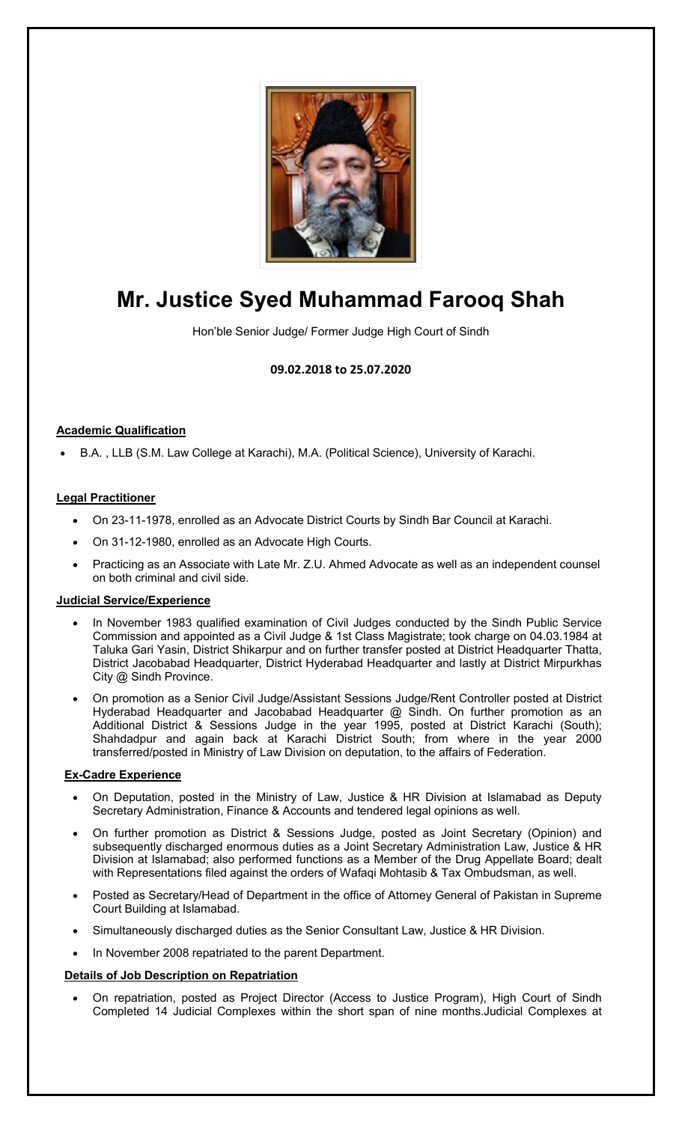

# **Mr. Justice Syed Muhammad Farooq Shah**

Hon'ble Senior Judge/ Former Judge High Court of Sindh

# **09.02.2018 to 25.07.2020**

# **Academic Qualification**

• B.A. , LLB (S.M. Law College at Karachi), M.A. (Political Science), University of Karachi.

#### **Legal Practitioner**

- On 23-11-1978, enrolled as an Advocate District Courts by Sindh Bar Council at Karachi.
- On 31-12-1980, enrolled as an Advocate High Courts.
- Practicing as an Associate with Late Mr. Z.U. Ahmed Advocate as well as an independent counsel on both criminal and civil side.

#### **Judicial Service/Experience**

- In November 1983 qualified examination of Civil Judges conducted by the Sindh Public Service Commission and appointed as a Civil Judge & 1st Class Magistrate; took charge on 04.03.1984 at Taluka Gari Yasin, District Shikarpur and on further transfer posted at District Headquarter Thatta, District Jacobabad Headquarter, District Hyderabad Headquarter and lastly at District Mirpurkhas City @ Sindh Province.
- On promotion as a Senior Civil Judge/Assistant Sessions Judge/Rent Controller posted at District Hyderabad Headquarter and Jacobabad Headquarter @ Sindh. On further promotion as an Additional District & Sessions Judge in the year 1995, posted at District Karachi (South); Shahdadpur and again back at Karachi District South; from where in the year 2000 transferred/posted in Ministry of Law Division on deputation, to the affairs of Federation.

#### **Ex-Cadre Experience**

- On Deputation, posted in the Ministry of Law, Justice & HR Division at Islamabad as Deputy Secretary Administration, Finance & Accounts and tendered legal opinions as well.
- On further promotion as District & Sessions Judge, posted as Joint Secretary (Opinion) and subsequently discharged enormous duties as a Joint Secretary Administration Law, Justice & HR Division at Islamabad; also performed functions as a Member of the Drug Appellate Board; dealt with Representations filed against the orders of Wafaqi Mohtasib & Tax Ombudsman, as well.
- Posted as Secretary/Head of Department in the office of Attorney General of Pakistan in Supreme Court Building at Islamabad.
- Simultaneously discharged duties as the Senior Consultant Law, Justice & HR Division.
- In November 2008 repatriated to the parent Department.

#### **Details of Job Description on Repatriation**

• On repatriation, posted as Project Director (Access to Justice Program), High Court of Sindh Completed 14 Judicial Complexes within the short span of nine months.Judicial Complexes at